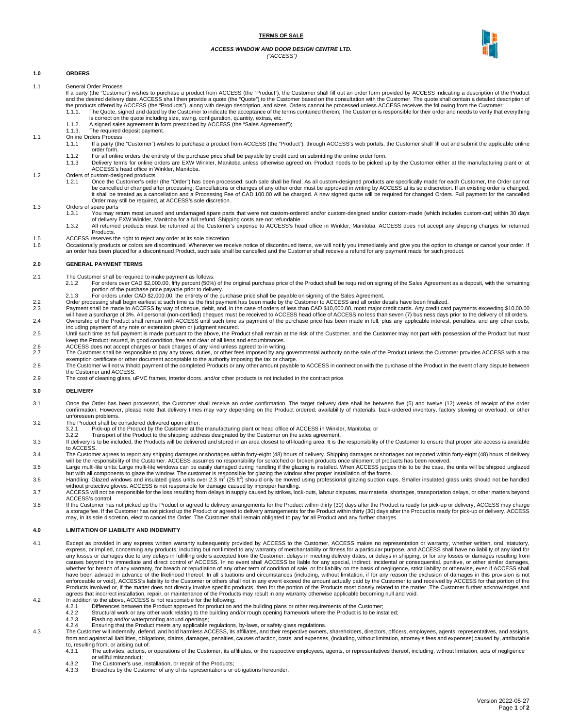### **TERMS OF SALE**

#### *ACCESS WINDOW AND DOOR DESIGN CENTRE LTD. ("ACCESS")*



## **1.0 ORDERS**

- 1.1 General Order Process
	- If a party (the "Customer") wishes to purchase a product from ACCESS (the "Product"), the Customer shall fill out an order form provided by ACCESS indicating a description of the Product<br>and the desired delivery date. ACCE the products offered by ACCESS (the "Products"), along with design description, and sizes. Orders cannot be processed unless ACCESS receives the following from the Customer:<br>1.1.1. The Quote, signed and dated by the Custom
	- is correct on the quote including size, swing, configuration, quantity, extras, etc. 1.1.2. A signed sales agreement in form prescribed by ACCESS (the "Sales Agreement");
	- 1.1.3. The required deposit payment.
	-
- 1.1 Online Orders Process<br>1.1.1 If a party (the If a party (the "Customer") wishes to purchase a product from ACCESS (the "Product"), through ACCESS's web portals, the Customer shall fill out and submit the applicable online order form.
	- 1.1.2 For all online orders the entirety of the purchase price shall be payable by credit card on submitting the online order form.<br>1.1.3 Delivery terms for online orders are EXW Winkler, Manitoba unless otherwise agreed o
	- Delivery terms for online orders are EXW Winkler, Manitoba unless otherwise agreed on. Product needs to be picked up by the Customer either at the manufacturing plant or at ACCESS's head office in Winkler, Manitoba.
- 1.2 Orders of custom-designed products<br>1.2.1 Open the Customer's order
	- Once the Customer's order (the "Order") has been processed, such sale shall be final. As all custom-designed products are specifically made for each Customer, the Order cannot be cancelled or changed after processing. Cancellations or changes of any other order must be approved in writing by ACCESS at its sole discretion. If an existing order is changed,<br>it shall be treated as a cancellation and Order may still be required, at ACCESS's sole discretion.
- 1.3 Orders of spare parts<br>1.3.1 You may re
	- .<br>You may return most unused and undamaged spare parts that were not custom-ordered and/or custom-designed and/or custom-made (which includes custom-cut) within 30 days of delivery EXW Winkler, Manitoba for a full refund. Shipping costs are not refundable.<br>1.3.2 All returned products must be returned at the Customer's expense to ACCESS's head office in Winkler, Manitoba. ACCESS does not a
	- Products.
- 1.5 ACCESS reserves the right to reject any order at its sole discretion.<br>1.6 Cocasionally products or colors are discontinued. Whenever we rec
- Occasionally products or colors are discontinued. Whenever we receive notice of discontinued items, we will notify you immediately and give you the option to change or cancel your order. If an order has been placed for a discontinued Product, such sale shall be cancelled and the Customer shall receive a refund for any payment made for such product.

### **2.0 GENERAL PAYMENT TERMS**

- 
- 2.1 The Customer shall be required to make payment as follows:<br>2.1.2 For orders over CAD \$2,000.00, fifty percent (50%) of the original purchase price of the Product shall be required on signing of the Sales Agreement as a portion of the purchase price payable prior to delivery.
	- 2.1.3 For orders under CAD \$2,000.00, the entirety of the purchase price shall be payable on signing of the Sales Agreement.
- 2.2 Order processing shall begin earliest at such time as the first payment has been made by the Customer to ACCESS and all order details have been finalized.<br>2.3 Payment shall be made to ACCESS by way of cheque, debit, an
- will have a surcharge of 3%. All personal (non-certified) cheques must be received to ACCESS head office of ACCESS no less than seven (7) business days prior to the delivery of all orders.<br>2.4 Ownership of the Product shal including payment of any note or extension given or judgment secured.
- 2.5 Until such time as full payment is made pursuant to the above, the Product shall remain at the risk of the Customer, and the Customer may not part with possession of the Product but must<br>keep the Product insured, in go
- 2.6 ACCESS does not accept charges or back charges of any kind unless agreed to in writing.<br>2.7 The Customer shall be responsible to pay any taxes, duties, or other fees imposed by any
- The Customer shall be responsible to pay any taxes, duties, or other fees imposed by any governmental authority on the sale of the Product unless the Customer provides ACCESS with a tax<br>exemption certificate or other docum the Customer and ACCESS.
- 2.9 The cost of cleaning glass, uPVC frames, interior doors, and/or other products is not included in the contract price.

#### **3.0 DELIVERY**

- 3.1 Once the Order has been processed, the Customer shall receive an order confirmation. The target delivery date shall be between five (5) and twelve (12) weeks of receipt of the order confirmation. However, please note that delivery times may vary depending on the Product ordered, availability of materials, back-ordered inventory, factory slowing or overload, or other unforeseen problems.
- 3.2 The Product shall be considered delivered upon either:<br>3.2.1 Pick-up of the Product by the Customer at the
	-
	- 3.2.1 Pick-up of the Product by the Customer at the manufacturing plant or head office of ACCESS in Winkler, Manitoba; or<br>3.2.2 Transport of the Product to the shipping address designated by the Customer on the sales agree
- 3.3 If delivery is to be included, the Products will be delivered and stored in an area closest to off-loading area. It is the responsibility of the Customer to ensure that proper site access is available to ACCESS.
- 3.4 The Customer agrees to report any shipping damages or shortages within forty-eight (48) hours of delivery. Shipping damages or shortages not reported within forty-eight (48) hours of delivery
- will be the responsibility of the Customer. ACCESS assumes no responsibility for scratched or broken products once shipment of products has been received.<br>2.5 Large multi-lite units: Large multi-lite windows can be easily
- 
- 3.7 ACCESS will not be responsible for the loss resulting from delays in supply caused by strikes, lock-outs, labour disputes, raw material shortages, transportation delays, or other matters beyond ACCESS's control.
- 3.8 If the Customer has not picked up the Product or agreed to delivery arrangements for the Product within thirty (30) days after the Product is ready for pick-up or delivery, ACCESS may charge a storage fee. If the Customer has not picked up the Product or agreed to delivery arrangements for the Product within thirty (30) days after the Product is ready for pick-up or delivery, ACCESS<br>may, in its sole discretion

## **4.0 LIMITATION OF LIABILITY AND INDEMNITY**

- 4.1 Except as provided in any express written warranty subsequently provided by ACCESS to the Customer, ACCESS makes no representation or warranty, whether written, oral, statutory, express, or implied, concerning any products, including but not limited to any warranty of merchantability or fitness for a particular purpose, and ACCESS shall have no liability of any kind for<br>any losses or damages due t causes beyond the immediate and direct control of ACCESS. In no event shall ACCESS be liable for any special, indirect, incidental or consequential, punitive, or other similar damages, whether for breach of any warranty, for breach or repudiation of any other term of condition of sale, or for liability on the basis of negligence, strict liability or otherwise, even if ACCESS shall<br>have been advised in ad enforceable or void), ACCESS's liability to the Customer or others shall not in any event exceed the amount actually paid by the Customer to and received by ACCESS for that portion of the<br>Products involved or, if the matte agrees that incorrect installation, repair, or maintenance of the Products may result in any warranty otherwise applicable becoming null and void.
- 
- 4.2 In addition to the above, ACCESS is not responsible for the following: 4.2.1 Differences between the Product approved for production and the building plans or other requirements of the Customer;
	- 4.2.2 Structural work or any other work relating to the building and/or rough opening framework where the Product is to be installed;<br>4.2.3 Flashing and/or waterproofing around openings; Flashing and/or waterproofing around openings;
	-
	-
- 4.2.4 Ensuring that the Product meets any applicable regulations, by-laws, or safety glass regulations.<br>The Customer will indemnify, defend, and hold harmless ACCESS, its affiliates, and their respective owners, shareholde from and against all liabilities, obligations, claims, damages, penalties, causes of action, costs, and expenses, (including, without limitation, attorney's fees and expenses) caused by, attributable to, resulting from, or arising out of:<br>4.3.1 The activities actions of
	- 4.3.1 The activities, actions, or operations of the Customer, its affiliates, or the respective employees, agents, or representatives thereof, including, without limitation, acts of negligence or willful misconduct;
	- 4.3.2 The Customer's use, installation, or repair of the Products;<br>4.3.3 Breaches by the Customer of any of its representations or
	- Breaches by the Customer of any of its representations or obligations hereunder.